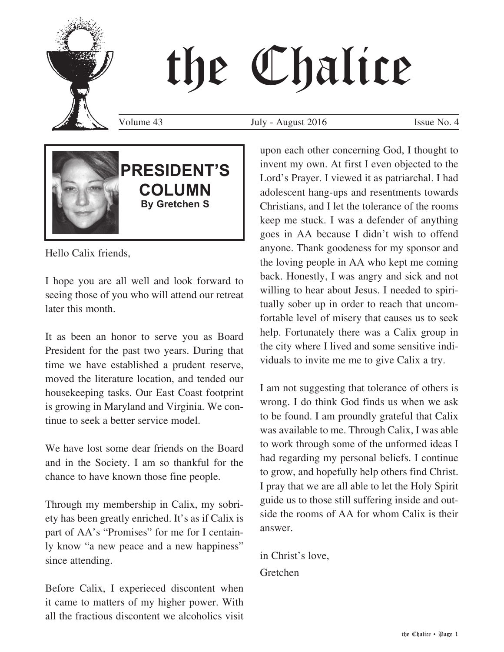# the Chalice

Volume 43 July - August 2016 Issue No. 4



### **PRESIDENT'S COLUMN By Gretchen S**

Hello Calix friends,

I hope you are all well and look forward to seeing those of you who will attend our retreat later this month.

It as been an honor to serve you as Board President for the past two years. During that time we have established a prudent reserve, moved the literature location, and tended our housekeeping tasks. Our East Coast footprint is growing in Maryland and Virginia. We continue to seek a better service model.

We have lost some dear friends on the Board and in the Society. I am so thankful for the chance to have known those fine people.

Through my membership in Calix, my sobriety has been greatly enriched. It's as if Calix is part of AA's "Promises" for me for I centainly know "a new peace and a new happiness" since attending.

Before Calix, I experieced discontent when it came to matters of my higher power. With all the fractious discontent we alcoholics visit upon each other concerning God, I thought to invent my own. At first I even objected to the Lord's Prayer. I viewed it as patriarchal. I had adolescent hang-ups and resentments towards Christians, and I let the tolerance of the rooms keep me stuck. I was a defender of anything goes in AA because I didn't wish to offend anyone. Thank goodeness for my sponsor and the loving people in AA who kept me coming back. Honestly, I was angry and sick and not willing to hear about Jesus. I needed to spiritually sober up in order to reach that uncomfortable level of misery that causes us to seek help. Fortunately there was a Calix group in the city where I lived and some sensitive individuals to invite me me to give Calix a try.

I am not suggesting that tolerance of others is wrong. I do think God finds us when we ask to be found. I am proundly grateful that Calix was available to me. Through Calix, I was able to work through some of the unformed ideas I had regarding my personal beliefs. I continue to grow, and hopefully help others find Christ. I pray that we are all able to let the Holy Spirit guide us to those still suffering inside and outside the rooms of AA for whom Calix is their answer.

in Christ's love, Gretchen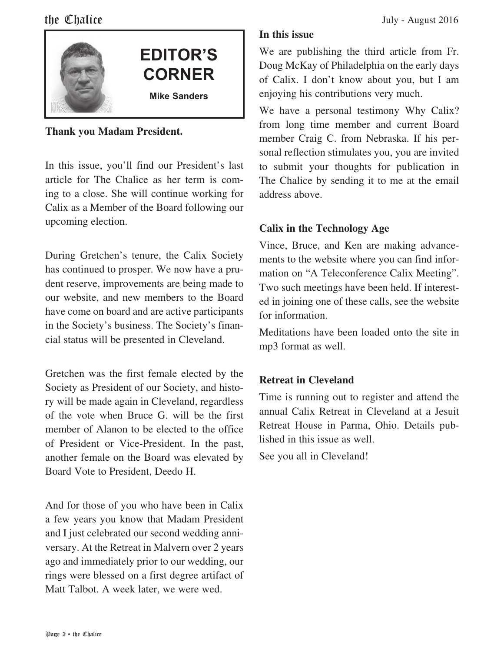

#### **Thank you Madam President.**

In this issue, you'll find our President's last article for The Chalice as her term is coming to a close. She will continue working for Calix as a Member of the Board following our upcoming election.

During Gretchen's tenure, the Calix Society has continued to prosper. We now have a prudent reserve, improvements are being made to our website, and new members to the Board have come on board and are active participants in the Society's business. The Society's financial status will be presented in Cleveland.

Gretchen was the first female elected by the Society as President of our Society, and history will be made again in Cleveland, regardless of the vote when Bruce G. will be the first member of Alanon to be elected to the office of President or Vice-President. In the past, another female on the Board was elevated by Board Vote to President, Deedo H.

And for those of you who have been in Calix a few years you know that Madam President and I just celebrated our second wedding anniversary. At the Retreat in Malvern over 2 years ago and immediately prior to our wedding, our rings were blessed on a first degree artifact of Matt Talbot. A week later, we were wed.

#### **In this issue**

We are publishing the third article from Fr. Doug McKay of Philadelphia on the early days of Calix. I don't know about you, but I am enjoying his contributions very much.

We have a personal testimony Why Calix? from long time member and current Board member Craig C. from Nebraska. If his personal reflection stimulates you, you are invited to submit your thoughts for publication in The Chalice by sending it to me at the email address above.

#### **Calix in the Technology Age**

Vince, Bruce, and Ken are making advancements to the website where you can find information on "A Teleconference Calix Meeting". Two such meetings have been held. If interested in joining one of these calls, see the website for information.

Meditations have been loaded onto the site in mp3 format as well.

#### **Retreat in Cleveland**

Time is running out to register and attend the annual Calix Retreat in Cleveland at a Jesuit Retreat House in Parma, Ohio. Details published in this issue as well.

See you all in Cleveland!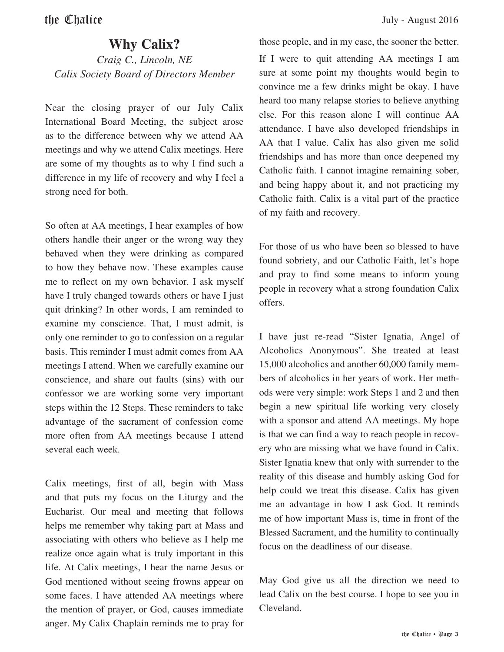#### **Why Calix?**

*Craig C., Lincoln, NE Calix Society Board of Directors Member*

Near the closing prayer of our July Calix International Board Meeting, the subject arose as to the difference between why we attend AA meetings and why we attend Calix meetings. Here are some of my thoughts as to why I find such a difference in my life of recovery and why I feel a strong need for both.

So often at AA meetings, I hear examples of how others handle their anger or the wrong way they behaved when they were drinking as compared to how they behave now. These examples cause me to reflect on my own behavior. I ask myself have I truly changed towards others or have I just quit drinking? In other words, I am reminded to examine my conscience. That, I must admit, is only one reminder to go to confession on a regular basis. This reminder I must admit comes from AA meetings I attend. When we carefully examine our conscience, and share out faults (sins) with our confessor we are working some very important steps within the 12 Steps. These reminders to take advantage of the sacrament of confession come more often from AA meetings because I attend several each week.

Calix meetings, first of all, begin with Mass and that puts my focus on the Liturgy and the Eucharist. Our meal and meeting that follows helps me remember why taking part at Mass and associating with others who believe as I help me realize once again what is truly important in this life. At Calix meetings, I hear the name Jesus or God mentioned without seeing frowns appear on some faces. I have attended AA meetings where the mention of prayer, or God, causes immediate anger. My Calix Chaplain reminds me to pray for those people, and in my case, the sooner the better. If I were to quit attending AA meetings I am sure at some point my thoughts would begin to convince me a few drinks might be okay. I have heard too many relapse stories to believe anything else. For this reason alone I will continue AA attendance. I have also developed friendships in AA that I value. Calix has also given me solid friendships and has more than once deepened my Catholic faith. I cannot imagine remaining sober, and being happy about it, and not practicing my Catholic faith. Calix is a vital part of the practice of my faith and recovery.

For those of us who have been so blessed to have found sobriety, and our Catholic Faith, let's hope and pray to find some means to inform young people in recovery what a strong foundation Calix offers.

I have just re-read "Sister Ignatia, Angel of Alcoholics Anonymous". She treated at least 15,000 alcoholics and another 60,000 family members of alcoholics in her years of work. Her methods were very simple: work Steps 1 and 2 and then begin a new spiritual life working very closely with a sponsor and attend AA meetings. My hope is that we can find a way to reach people in recovery who are missing what we have found in Calix. Sister Ignatia knew that only with surrender to the reality of this disease and humbly asking God for help could we treat this disease. Calix has given me an advantage in how I ask God. It reminds me of how important Mass is, time in front of the Blessed Sacrament, and the humility to continually focus on the deadliness of our disease.

May God give us all the direction we need to lead Calix on the best course. I hope to see you in Cleveland.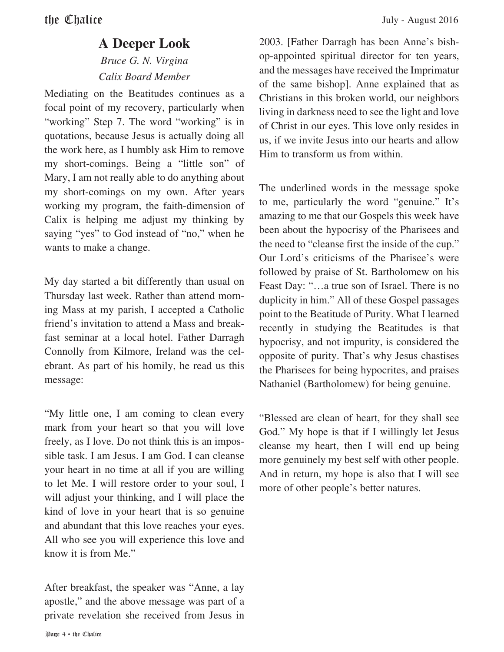#### **A Deeper Look**

#### *Bruce G. N. Virgina Calix Board Member*

Mediating on the Beatitudes continues as a focal point of my recovery, particularly when "working" Step 7. The word "working" is in quotations, because Jesus is actually doing all the work here, as I humbly ask Him to remove my short-comings. Being a "little son" of Mary, I am not really able to do anything about my short-comings on my own. After years working my program, the faith-dimension of Calix is helping me adjust my thinking by saying "yes" to God instead of "no," when he wants to make a change.

My day started a bit differently than usual on Thursday last week. Rather than attend morning Mass at my parish, I accepted a Catholic friend's invitation to attend a Mass and breakfast seminar at a local hotel. Father Darragh Connolly from Kilmore, Ireland was the celebrant. As part of his homily, he read us this message:

"My little one, I am coming to clean every mark from your heart so that you will love freely, as I love. Do not think this is an impossible task. I am Jesus. I am God. I can cleanse your heart in no time at all if you are willing to let Me. I will restore order to your soul, I will adjust your thinking, and I will place the kind of love in your heart that is so genuine and abundant that this love reaches your eyes. All who see you will experience this love and know it is from Me."

After breakfast, the speaker was "Anne, a lay apostle," and the above message was part of a private revelation she received from Jesus in

2003. [Father Darragh has been Anne's bishop-appointed spiritual director for ten years, and the messages have received the Imprimatur of the same bishop]. Anne explained that as Christians in this broken world, our neighbors living in darkness need to see the light and love of Christ in our eyes. This love only resides in us, if we invite Jesus into our hearts and allow Him to transform us from within.

The underlined words in the message spoke to me, particularly the word "genuine." It's amazing to me that our Gospels this week have been about the hypocrisy of the Pharisees and the need to "cleanse first the inside of the cup." Our Lord's criticisms of the Pharisee's were followed by praise of St. Bartholomew on his Feast Day: "…a true son of Israel. There is no duplicity in him." All of these Gospel passages point to the Beatitude of Purity. What I learned recently in studying the Beatitudes is that hypocrisy, and not impurity, is considered the opposite of purity. That's why Jesus chastises the Pharisees for being hypocrites, and praises Nathaniel (Bartholomew) for being genuine.

"Blessed are clean of heart, for they shall see God." My hope is that if I willingly let Jesus cleanse my heart, then I will end up being more genuinely my best self with other people. And in return, my hope is also that I will see more of other people's better natures.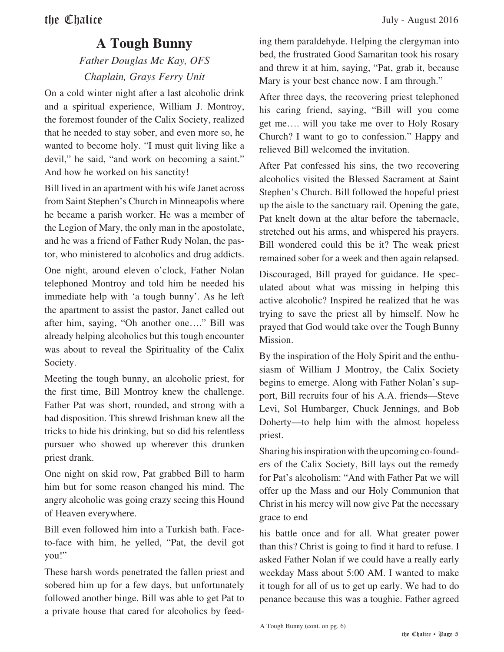#### **A Tough Bunny**

#### *Father Douglas Mc Kay, OFS Chaplain, Grays Ferry Unit*

On a cold winter night after a last alcoholic drink and a spiritual experience, William J. Montroy, the foremost founder of the Calix Society, realized that he needed to stay sober, and even more so, he wanted to become holy. "I must quit living like a devil," he said, "and work on becoming a saint." And how he worked on his sanctity!

Bill lived in an apartment with his wife Janet across from Saint Stephen's Church in Minneapolis where he became a parish worker. He was a member of the Legion of Mary, the only man in the apostolate, and he was a friend of Father Rudy Nolan, the pastor, who ministered to alcoholics and drug addicts.

One night, around eleven o'clock, Father Nolan telephoned Montroy and told him he needed his immediate help with 'a tough bunny'. As he left the apartment to assist the pastor, Janet called out after him, saying, "Oh another one…." Bill was already helping alcoholics but this tough encounter was about to reveal the Spirituality of the Calix Society.

Meeting the tough bunny, an alcoholic priest, for the first time, Bill Montroy knew the challenge. Father Pat was short, rounded, and strong with a bad disposition. This shrewd Irishman knew all the tricks to hide his drinking, but so did his relentless pursuer who showed up wherever this drunken priest drank.

One night on skid row, Pat grabbed Bill to harm him but for some reason changed his mind. The angry alcoholic was going crazy seeing this Hound of Heaven everywhere.

Bill even followed him into a Turkish bath. Faceto-face with him, he yelled, "Pat, the devil got you!"

These harsh words penetrated the fallen priest and sobered him up for a few days, but unfortunately followed another binge. Bill was able to get Pat to a private house that cared for alcoholics by feeding them paraldehyde. Helping the clergyman into bed, the frustrated Good Samaritan took his rosary and threw it at him, saying, "Pat, grab it, because Mary is your best chance now. I am through."

After three days, the recovering priest telephoned his caring friend, saying, "Bill will you come get me…. will you take me over to Holy Rosary Church? I want to go to confession." Happy and relieved Bill welcomed the invitation.

After Pat confessed his sins, the two recovering alcoholics visited the Blessed Sacrament at Saint Stephen's Church. Bill followed the hopeful priest up the aisle to the sanctuary rail. Opening the gate, Pat knelt down at the altar before the tabernacle, stretched out his arms, and whispered his prayers. Bill wondered could this be it? The weak priest remained sober for a week and then again relapsed.

Discouraged, Bill prayed for guidance. He speculated about what was missing in helping this active alcoholic? Inspired he realized that he was trying to save the priest all by himself. Now he prayed that God would take over the Tough Bunny Mission.

By the inspiration of the Holy Spirit and the enthusiasm of William J Montroy, the Calix Society begins to emerge. Along with Father Nolan's support, Bill recruits four of his A.A. friends—Steve Levi, Sol Humbarger, Chuck Jennings, and Bob Doherty—to help him with the almost hopeless priest.

Sharing his inspiration with the upcoming co-founders of the Calix Society, Bill lays out the remedy for Pat's alcoholism: "And with Father Pat we will offer up the Mass and our Holy Communion that Christ in his mercy will now give Pat the necessary grace to end

his battle once and for all. What greater power than this? Christ is going to find it hard to refuse. I asked Father Nolan if we could have a really early weekday Mass about 5:00 AM. I wanted to make it tough for all of us to get up early. We had to do penance because this was a toughie. Father agreed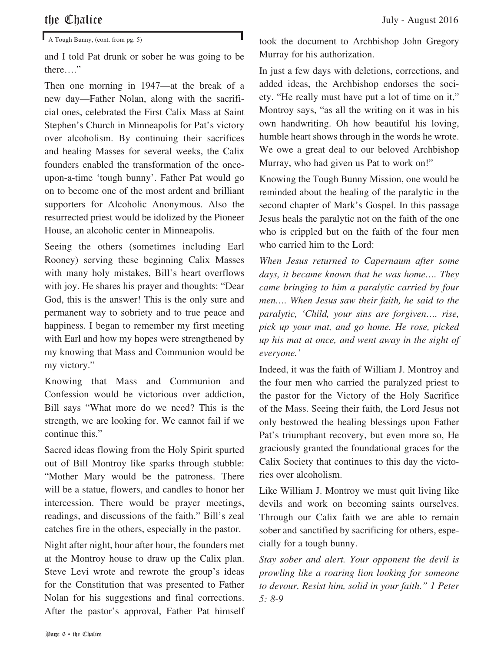$\blacksquare$  A Tough Bunny, (cont. from pg. 5)

and I told Pat drunk or sober he was going to be there…."

Then one morning in 1947—at the break of a new day—Father Nolan, along with the sacrificial ones, celebrated the First Calix Mass at Saint Stephen's Church in Minneapolis for Pat's victory over alcoholism. By continuing their sacrifices and healing Masses for several weeks, the Calix founders enabled the transformation of the onceupon-a-time 'tough bunny'. Father Pat would go on to become one of the most ardent and brilliant supporters for Alcoholic Anonymous. Also the resurrected priest would be idolized by the Pioneer House, an alcoholic center in Minneapolis.

Seeing the others (sometimes including Earl Rooney) serving these beginning Calix Masses with many holy mistakes, Bill's heart overflows with joy. He shares his prayer and thoughts: "Dear God, this is the answer! This is the only sure and permanent way to sobriety and to true peace and happiness. I began to remember my first meeting with Earl and how my hopes were strengthened by my knowing that Mass and Communion would be my victory."

Knowing that Mass and Communion and Confession would be victorious over addiction, Bill says "What more do we need? This is the strength, we are looking for. We cannot fail if we continue this."

Sacred ideas flowing from the Holy Spirit spurted out of Bill Montroy like sparks through stubble: "Mother Mary would be the patroness. There will be a statue, flowers, and candles to honor her intercession. There would be prayer meetings, readings, and discussions of the faith." Bill's zeal catches fire in the others, especially in the pastor.

Night after night, hour after hour, the founders met at the Montroy house to draw up the Calix plan. Steve Levi wrote and rewrote the group's ideas for the Constitution that was presented to Father Nolan for his suggestions and final corrections. After the pastor's approval, Father Pat himself took the document to Archbishop John Gregory Murray for his authorization.

In just a few days with deletions, corrections, and added ideas, the Archbishop endorses the society. "He really must have put a lot of time on it," Montroy says, "as all the writing on it was in his own handwriting. Oh how beautiful his loving, humble heart shows through in the words he wrote. We owe a great deal to our beloved Archbishop Murray, who had given us Pat to work on!"

Knowing the Tough Bunny Mission, one would be reminded about the healing of the paralytic in the second chapter of Mark's Gospel. In this passage Jesus heals the paralytic not on the faith of the one who is crippled but on the faith of the four men who carried him to the Lord:

*When Jesus returned to Capernaum after some days, it became known that he was home…. They came bringing to him a paralytic carried by four men…. When Jesus saw their faith, he said to the paralytic, 'Child, your sins are forgiven…. rise, pick up your mat, and go home. He rose, picked up his mat at once, and went away in the sight of everyone.'*

Indeed, it was the faith of William J. Montroy and the four men who carried the paralyzed priest to the pastor for the Victory of the Holy Sacrifice of the Mass. Seeing their faith, the Lord Jesus not only bestowed the healing blessings upon Father Pat's triumphant recovery, but even more so, He graciously granted the foundational graces for the Calix Society that continues to this day the victories over alcoholism.

Like William J. Montroy we must quit living like devils and work on becoming saints ourselves. Through our Calix faith we are able to remain sober and sanctified by sacrificing for others, especially for a tough bunny.

*Stay sober and alert. Your opponent the devil is prowling like a roaring lion looking for someone to devour. Resist him, solid in your faith." 1 Peter 5: 8-9*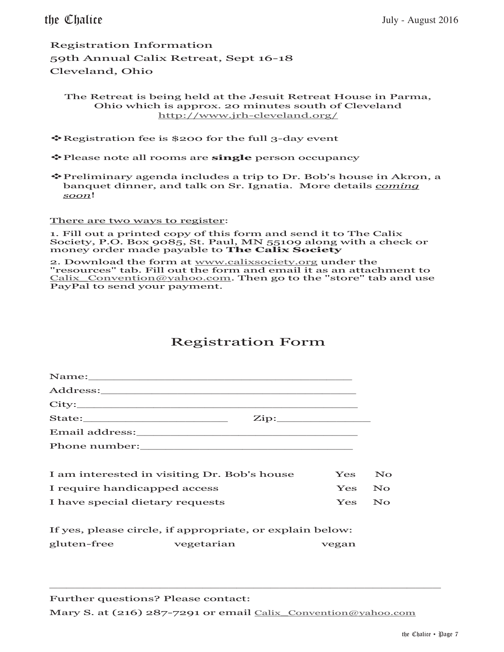Registration Information 59th Annual Calix Retreat, Sept 16-18 Cleveland, Ohio

The Retreat is being held at the Jesuit Retreat House in Parma, Ohio which is approx. 20 minutes south of Cleveland http://www.jrh-cleveland.org/

Registration fee is \$200 for the full 3-day event

Please note all rooms are **single** person occupancy

Preliminary agenda includes a trip to Dr. Bob's house in Akron, a banquet dinner, and talk on Sr. Ignatia. More details *coming soon*!

There are two ways to register:

1. Fill out a printed copy of this form and send it to The Calix Society, P.O. Box 9085, St. Paul, MN 55109 along with a check or money order made payable to **The Calix Society** 

2. Download the form at www.calixsociety.org under the 2. Download the form at <u>www.canasociety.org</u> under the<br>"resources" tab. Fill out the form and email it as an attachment to Calix\_Convention@yahoo.com. Then go to the "store" tab and use PayPal to send your payment.

#### Registration Form

|                                             | Name: Name and the second state of the second state of the second state of the second state of the second state of the second state of the second state of the second state of the second state of the second state of the sec |       |                                                 |
|---------------------------------------------|--------------------------------------------------------------------------------------------------------------------------------------------------------------------------------------------------------------------------------|-------|-------------------------------------------------|
|                                             |                                                                                                                                                                                                                                |       |                                                 |
|                                             |                                                                                                                                                                                                                                |       |                                                 |
| $\mathbf{Zip:}\_$                           |                                                                                                                                                                                                                                |       |                                                 |
|                                             |                                                                                                                                                                                                                                |       |                                                 |
|                                             |                                                                                                                                                                                                                                |       |                                                 |
|                                             |                                                                                                                                                                                                                                |       |                                                 |
| I am interested in visiting Dr. Bob's house |                                                                                                                                                                                                                                | Yes   | No.                                             |
| I require handicapped access                |                                                                                                                                                                                                                                |       | Yes No                                          |
| I have special dietary requests             |                                                                                                                                                                                                                                | Yes   | $\overline{\mathbf{N}}$ $\overline{\mathbf{O}}$ |
|                                             | If yes, please circle, if appropriate, or explain below:                                                                                                                                                                       |       |                                                 |
| gluten-free vegetarian                      |                                                                                                                                                                                                                                | vegan |                                                 |

Further questions? Please contact: Mary S. at (216) 287-7291 or email Calix\_Convention@yahoo.com

\_\_\_\_\_\_\_\_\_\_\_\_\_\_\_\_\_\_\_\_\_\_\_\_\_\_\_\_\_\_\_\_\_\_\_\_\_\_\_\_\_\_\_\_\_\_